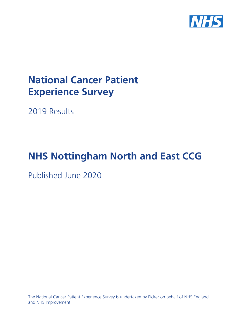

# **National Cancer Patient Experience Survey**

2019 Results

# **NHS Nottingham North and East CCG**

Published June 2020

The National Cancer Patient Experience Survey is undertaken by Picker on behalf of NHS England and NHS Improvement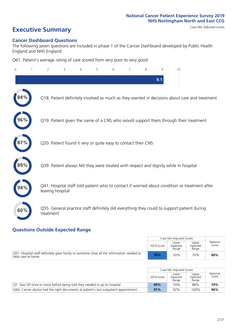# **Executive Summary** Case Mix Adjusted scores

### **Cancer Dashboard Questions**

The following seven questions are included in phase 1 of the Cancer Dashboard developed by Public Health England and NHS England:

Q61. Patient's average rating of care scored from very poor to very good

| $\Omega$ | $\overline{2}$   | 3                                                             | 4 | 5 | 6 | 7 | 8 | 9   | 10                                                                                            |
|----------|------------------|---------------------------------------------------------------|---|---|---|---|---|-----|-----------------------------------------------------------------------------------------------|
|          |                  |                                                               |   |   |   |   |   | 9.1 |                                                                                               |
|          |                  |                                                               |   |   |   |   |   |     | Q18. Patient definitely involved as much as they wanted in decisions about care and treatment |
| 96%      |                  |                                                               |   |   |   |   |   |     | Q19. Patient given the name of a CNS who would support them through their treatment           |
|          |                  | Q20. Patient found it very or quite easy to contact their CNS |   |   |   |   |   |     |                                                                                               |
|          |                  |                                                               |   |   |   |   |   |     | Q39. Patient always felt they were treated with respect and dignity while in hospital         |
| 94%      | leaving hospital |                                                               |   |   |   |   |   |     | Q41. Hospital staff told patient who to contact if worried about condition or treatment after |
| 60%      | treatment        |                                                               |   |   |   |   |   |     | Q55. General practice staff definitely did everything they could to support patient during    |

### **Questions Outside Expected Range**

|                                                                                                                          |            | Case Mix Adiusted Scores   |                            |                   |
|--------------------------------------------------------------------------------------------------------------------------|------------|----------------------------|----------------------------|-------------------|
|                                                                                                                          | 2019 Score | Lower<br>Expected<br>Range | Upper<br>Expected<br>Range | National<br>Score |
| $\sqrt{Q51}$ . Hospital staff definitely gave family or someone close all the information needed to<br>help care at home | 70%        | 50%                        | 70%                        | 60%               |

|                                                                                        |            | Case Mix Adjusted Scores   |                            |                   |
|----------------------------------------------------------------------------------------|------------|----------------------------|----------------------------|-------------------|
|                                                                                        | 2019 Score | Lower<br>Expected<br>Range | Upper<br>Expected<br>Range | National<br>Score |
| Q1. Saw GP once or twice before being told they needed to go to hospital               | 69%        | 70%                        | 88%                        | 79%               |
| $Q44$ . Cancer doctor had the right documents at patient's last outpatient appointment | 91%        | 92%                        | 100%                       | 96%               |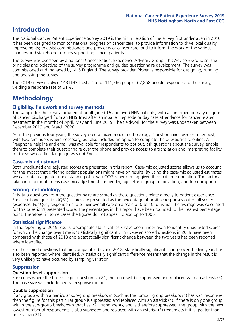## **Introduction**

The National Cancer Patient Experience Survey 2019 is the ninth iteration of the survey first undertaken in 2010. It has been designed to monitor national progress on cancer care; to provide information to drive local quality improvements; to assist commissioners and providers of cancer care; and to inform the work of the various charities and stakeholder groups supporting cancer patients.

The survey was overseen by a national Cancer Patient Experience Advisory Group. This Advisory Group set the principles and objectives of the survey programme and guided questionnaire development. The survey was commissioned and managed by NHS England. The survey provider, Picker, is responsible for designing, running and analysing the survey.

The 2019 survey involved 143 NHS Trusts. Out of 111,366 people, 67,858 people responded to the survey, yielding a response rate of 61%.

# **Methodology**

### **Eligibility, eldwork and survey methods**

The sample for the survey included all adult (aged 16 and over) NHS patients, with a confirmed primary diagnosis of cancer, discharged from an NHS Trust after an inpatient episode or day case attendance for cancer related treatment in the months of April, May and June 2019. The fieldwork for the survey was undertaken between December 2019 and March 2020.

As in the previous four years, the survey used a mixed mode methodology. Questionnaires were sent by post, with two reminders where necessary, but also included an option to complete the questionnaire online. A Freephone helpline and email was available for respondents to opt out, ask questions about the survey, enable them to complete their questionnaire over the phone and provide access to a translation and interpreting facility for those whose first language was not English.

### **Case-mix adjustment**

Both unadjusted and adjusted scores are presented in this report. Case-mix adjusted scores allows us to account for the impact that differing patient populations might have on results. By using the case-mix adjusted estimates we can obtain a greater understanding of how a CCG is performing given their patient population. The factors taken into account in this case-mix adjustment are gender, age, ethnic group, deprivation, and tumour group.

### **Scoring methodology**

Fifty-two questions from the questionnaire are scored as these questions relate directly to patient experience. For all but one question (Q61), scores are presented as the percentage of positive responses out of all scored responses. For Q61, respondents rate their overall care on a scale of 0 to 10, of which the average was calculated for this question's presented score. The percentages in this report have been rounded to the nearest percentage point. Therefore, in some cases the figures do not appear to add up to 100%.

### **Statistical significance**

In the reporting of 2019 results, appropriate statistical tests have been undertaken to identify unadjusted scores for which the change over time is 'statistically significant'. Thirty-seven scored questions in 2019 have been compared with those of 2018 and a statistically significant change between the two years has been reported where identified.

For the scored questions that are comparable beyond 2018, statistically significant change over the five years has also been reported where identified. A statistically significant difference means that the change in the result is very unlikely to have occurred by sampling variation.

### **Suppression**

### **Question-level suppression**

For scores where the base size per question is  $<$ 21, the score will be suppressed and replaced with an asterisk (\*). The base size will include neutral response options.

### **Double suppression**

If any group within a particular sub-group breakdown (such as the tumour group breakdown) has <21 responses, then the figure for this particular group is suppressed and replaced with an asterisk (\*). If there is only one group within the sub-group breakdown that has <21 respondents, and is therefore suppressed, the group with the next lowest number of respondents is also supressed and replaced with an asterisk (\*) (regardless if it is greater than or less than 21).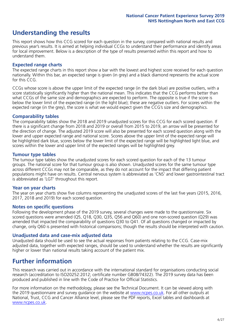# **Understanding the results**

This report shows how this CCG scored for each question in the survey, compared with national results and previous year's results. It is aimed at helping individual CCGs to understand their performance and identify areas for local improvement. Below is a description of the type of results presented within this report and how to understand them.

### **Expected range charts**

The expected range charts in this report show a bar with the lowest and highest score received for each question nationally. Within this bar, an expected range is given (in grey) and a black diamond represents the actual score for this CCG.

CCGs whose score is above the upper limit of the expected range (in the dark blue) are positive outliers, with a score statistically significantly higher than the national mean. This indicates that the CCG performs better than what CCGs of the same size and demographics are expected to perform. The opposite is true if the score is below the lower limit of the expected range (in the light blue); these are negative outliers. For scores within the expected range (in the grey), the score is what we would expect given the CCG's size and demographics.

### **Comparability tables**

The comparability tables show the 2018 and 2019 unadjusted scores for this CCG for each scored question. If there is a significant change from 2018 and 2019 or overall from 2015 to 2019, an arrow will be presented for the direction of change. The adjusted 2019 score will also be presented for each scored question along with the lower and upper expected range and national score. Scores above the upper limit of the expected range will be highlighted dark blue, scores below the lower limit of the expected range will be highlighted light blue, and scores within the lower and upper limit of the expected ranges will be highlighted grey.

### **Tumour type tables**

The tumour type tables show the unadjusted scores for each scored question for each of the 13 tumour groups. The national score for that tumour group is also shown. Unadjusted scores for the same tumour type across different CCGs may not be comparable, as they do not account for the impact that differing patient populations might have on results. Central nervous system is abbreviated as 'CNS' and lower gastrointestinal tract is abbreviated as 'LGT' throughout this report.

### **Year on year charts**

The year on year charts show five columns representing the unadjusted scores of the last five years (2015, 2016, 2017, 2018 and 2019) for each scored question.

### **Notes on specific questions**

Following the development phase of the 2019 survey, several changes were made to the questionnaire. Six scored questions were amended (Q5, Q18, Q30, Q35, Q56 and Q60) and one non-scored question (Q29) was amended that impacted the comparability of questions Q30 to Q41. Of all questions changed or impacted by change, only Q60 is presented with historical comparisons; though the results should be interpreted with caution.

### **Unadjusted data and case-mix adjusted data**

Unadjusted data should be used to see the actual responses from patients relating to the CCG. Case-mix adjusted data, together with expected ranges, should be used to understand whether the results are significantly higher or lower than national results taking account of the patient mix.

### **Further information**

This research was carried out in accordance with the international standard for organisations conducting social research (accreditation to ISO20252:2012; certificate number GB08/74322). The 2019 survey data has been produced and published in line with the Code of Practice for Official Statistics.

For more information on the methodology, please see the Technical Document. It can be viewed along with the 2019 questionnaire and survey quidance on the website at [www.ncpes.co.uk](https://www.ncpes.co.uk/supporting-documents). For all other outputs at National, Trust, CCG and Cancer Alliance level, please see the PDF reports, Excel tables and dashboards at [www.ncpes.co.uk.](https://www.ncpes.co.uk/current-results)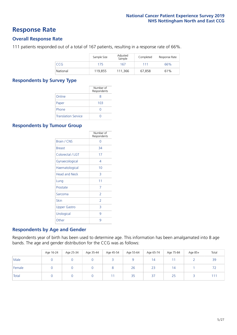### **Response Rate**

### **Overall Response Rate**

111 patients responded out of a total of 167 patients, resulting in a response rate of 66%.

|          | Sample Size | Adjusted<br>Sample | Completed | Response Rate |
|----------|-------------|--------------------|-----------|---------------|
| CCG      | 175         | 167                | 111       | 66%           |
| National | 119,855     | 111,366            | 67,858    | 61%           |

### **Respondents by Survey Type**

|                            | Number of<br>Respondents |
|----------------------------|--------------------------|
| Online                     | 8                        |
| Paper                      | 103                      |
| Phone                      | O                        |
| <b>Translation Service</b> |                          |

### **Respondents by Tumour Group**

|                      | Number of<br>Respondents |
|----------------------|--------------------------|
| <b>Brain / CNS</b>   | ∩                        |
| <b>Breast</b>        | 34                       |
| Colorectal / LGT     | 17                       |
| Gynaecological       | 4                        |
| Haematological       | 10                       |
| <b>Head and Neck</b> | 3                        |
| Lung                 | 11                       |
| Prostate             | 7                        |
| Sarcoma              | $\mathcal{P}$            |
| Skin                 | 2                        |
| <b>Upper Gastro</b>  | 3                        |
| Urological           | 9                        |
| Other                | 9                        |

### **Respondents by Age and Gender**

Respondents year of birth has been used to determine age. This information has been amalgamated into 8 age bands. The age and gender distribution for the CCG was as follows:

|              | Age 16-24 | Age 25-34 | Age 35-44 | Age 45-54 | Age 55-64 | Age 65-74 | Age 75-84 | Age 85+ | Total |
|--------------|-----------|-----------|-----------|-----------|-----------|-----------|-----------|---------|-------|
| Male         |           |           |           |           |           | 14        |           |         | 39    |
| Female       |           |           |           |           | 26        | 23        | 14        |         |       |
| <b>Total</b> |           |           |           |           | 35        | 37        | 25        |         | 111   |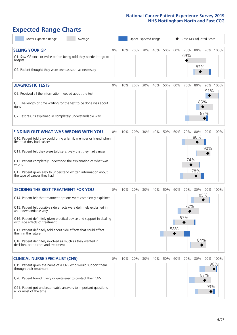# **Expected Range Charts**

| Lower Expected Range<br>Average                                                                                                                                                                                                                                                                                                                                                                                                                                                                                             |       |     | Upper Expected Range |     |         |     |            |                   | Case Mix Adjusted Score |            |                 |
|-----------------------------------------------------------------------------------------------------------------------------------------------------------------------------------------------------------------------------------------------------------------------------------------------------------------------------------------------------------------------------------------------------------------------------------------------------------------------------------------------------------------------------|-------|-----|----------------------|-----|---------|-----|------------|-------------------|-------------------------|------------|-----------------|
| <b>SEEING YOUR GP</b><br>Q1. Saw GP once or twice before being told they needed to go to<br>hospital<br>Q2. Patient thought they were seen as soon as necessary                                                                                                                                                                                                                                                                                                                                                             | 0%    | 10% | 20%                  |     | 30% 40% | 50% | 60%        | 70%<br>69%        | 80%<br>82%              |            | 90% 100%        |
| <b>DIAGNOSTIC TESTS</b><br>Q5. Received all the information needed about the test<br>Q6. The length of time waiting for the test to be done was about<br>right<br>Q7. Test results explained in completely understandable way                                                                                                                                                                                                                                                                                               | 0%    | 10% | 20%                  | 30% | 40%     | 50% | 60%        | 70%               | 80%<br>85%              | 91%<br>87% | 90% 100%        |
| <b>FINDING OUT WHAT WAS WRONG WITH YOU</b><br>Q10. Patient told they could bring a family member or friend when<br>first told they had cancer<br>Q11. Patient felt they were told sensitively that they had cancer<br>Q12. Patient completely understood the explanation of what was<br>wrong<br>Q13. Patient given easy to understand written information about<br>the type of cancer they had                                                                                                                             | 0%    | 10% | 20%                  | 30% | 40%     | 50% | 60%        | 70%<br>74%        | 80%<br>80%<br>78%       | 90%        | 90% 100%        |
| <b>DECIDING THE BEST TREATMENT FOR YOU</b><br>Q14. Patient felt that treatment options were completely explained<br>Q15. Patient felt possible side effects were definitely explained in<br>an understandable way<br>Q16. Patient definitely given practical advice and support in dealing<br>with side effects of treatment<br>Q17. Patient definitely told about side effects that could affect<br>them in the future<br>Q18. Patient definitely involved as much as they wanted in<br>decisions about care and treatment | 0%    | 10% | 20%                  | 30% | 40%     | 50% | 60%<br>58% | 70%<br>72%<br>67% | 80%<br>85%<br>84%       |            | 90% 100%        |
| <b>CLINICAL NURSE SPECIALIST (CNS)</b><br>Q19. Patient given the name of a CNS who would support them<br>through their treatment<br>Q20. Patient found it very or quite easy to contact their CNS<br>Q21. Patient got understandable answers to important questions<br>all or most of the time                                                                                                                                                                                                                              | $0\%$ | 10% | 20%                  | 30% | 40%     | 50% | 60%        | 70%               | 80%                     | 87%<br>93% | 90% 100%<br>96% |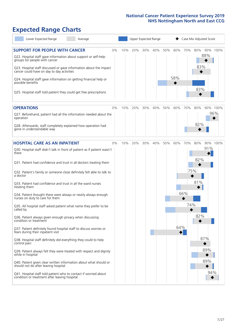# **Expected Range Charts**

| Lower Expected Range<br>Average                                                                                                                                                                                                                                                                                                                         |    |     |     |     | Upper Expected Range |     |            |     | Case Mix Adjusted Score |     |          |
|---------------------------------------------------------------------------------------------------------------------------------------------------------------------------------------------------------------------------------------------------------------------------------------------------------------------------------------------------------|----|-----|-----|-----|----------------------|-----|------------|-----|-------------------------|-----|----------|
| <b>SUPPORT FOR PEOPLE WITH CANCER</b><br>Q22. Hospital staff gave information about support or self-help<br>groups for people with cancer<br>Q23. Hospital staff discussed or gave information about the impact<br>cancer could have on day to day activities<br>Q24. Hospital staff gave information on getting financial help or<br>possible benefits | 0% | 10% | 20% | 30% | 40%                  | 50% | 60%<br>58% | 70% | 80%<br>83%              | 88% | 90% 100% |
| Q25. Hospital staff told patient they could get free prescriptions                                                                                                                                                                                                                                                                                      |    |     |     |     |                      |     |            |     | 83%                     |     |          |
| <b>OPERATIONS</b>                                                                                                                                                                                                                                                                                                                                       | 0% | 10% | 20% | 30% | 40%                  | 50% | 60%        | 70% | 80%                     |     | 90% 100% |
| Q27. Beforehand, patient had all the information needed about the<br>operation                                                                                                                                                                                                                                                                          |    |     |     |     |                      |     |            |     | 82%                     |     | 96%      |
| Q28. Afterwards, staff completely explained how operation had<br>gone in understandable way                                                                                                                                                                                                                                                             |    |     |     |     |                      |     |            |     |                         |     |          |
| <b>HOSPITAL CARE AS AN INPATIENT</b>                                                                                                                                                                                                                                                                                                                    | 0% | 10% | 20% | 30% | 40%                  | 50% | 60%        | 70% | 80%                     |     | 90% 100% |
| Q30. Hospital staff didn't talk in front of patient as if patient wasn't<br>there<br>Q31. Patient had confidence and trust in all doctors treating them                                                                                                                                                                                                 |    |     |     |     |                      |     |            |     | 82%                     | 91% |          |
| Q32. Patient's family or someone close definitely felt able to talk to<br>a doctor                                                                                                                                                                                                                                                                      |    |     |     |     |                      |     |            | 75% |                         |     |          |
| Q33. Patient had confidence and trust in all the ward nurses<br>treating them                                                                                                                                                                                                                                                                           |    |     |     |     |                      |     |            |     | 81%                     |     |          |
| Q34. Patient thought there were always or nearly always enough<br>nurses on duty to care for them                                                                                                                                                                                                                                                       |    |     |     |     |                      |     |            | 66% |                         |     |          |
| Q35. All hospital staff asked patient what name they prefer to be<br>called by                                                                                                                                                                                                                                                                          |    |     |     |     |                      |     |            | 74% |                         |     |          |
| Q36. Patient always given enough privacy when discussing<br>condition or treatment                                                                                                                                                                                                                                                                      |    |     |     |     |                      |     |            |     | 82%                     |     |          |
| Q37. Patient definitely found hospital staff to discuss worries or<br>fears during their inpatient visit                                                                                                                                                                                                                                                |    |     |     |     |                      |     | 64%        |     |                         |     |          |
| Q38. Hospital staff definitely did everything they could to help<br>control pain                                                                                                                                                                                                                                                                        |    |     |     |     |                      |     |            |     |                         | 87% |          |
| Q39. Patient always felt they were treated with respect and dignity<br>while in hospital                                                                                                                                                                                                                                                                |    |     |     |     |                      |     |            |     |                         | 89% |          |
| Q40. Patient given clear written information about what should or<br>should not do after leaving hospital                                                                                                                                                                                                                                               |    |     |     |     |                      |     |            |     |                         | 89% |          |
| Q41. Hospital staff told patient who to contact if worried about<br>condition or treatment after leaving hospital                                                                                                                                                                                                                                       |    |     |     |     |                      |     |            |     |                         | 94% |          |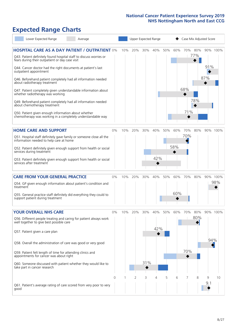# **Expected Range Charts**

| Lower Expected Range<br>Average                                                                                                                                                                                                                                                                                                                                                                                                                                                                                                                                                  |            |     |          |                 | Upper Expected Range |          |            |                 |                       | Case Mix Adjusted Score |                 |
|----------------------------------------------------------------------------------------------------------------------------------------------------------------------------------------------------------------------------------------------------------------------------------------------------------------------------------------------------------------------------------------------------------------------------------------------------------------------------------------------------------------------------------------------------------------------------------|------------|-----|----------|-----------------|----------------------|----------|------------|-----------------|-----------------------|-------------------------|-----------------|
| <b>HOSPITAL CARE AS A DAY PATIENT / OUTPATIENT 0%</b><br>Q43. Patient definitely found hospital staff to discuss worries or<br>fears during their outpatient or day case visit<br>Q44. Cancer doctor had the right documents at patient's last<br>outpatient appointment<br>Q46. Beforehand patient completely had all information needed<br>about radiotherapy treatment<br>Q47. Patient completely given understandable information about<br>whether radiotherapy was working<br>Q49. Beforehand patient completely had all information needed<br>about chemotherapy treatment |            | 10% | 20%      | 30%             | 40%                  | 50%      | 60%        | 68%<br>71%      | 70% 80%<br>77%<br>78% | 91%<br>87%              | 90% 100%        |
| Q50. Patient given enough information about whether<br>chemotherapy was working in a completely understandable way                                                                                                                                                                                                                                                                                                                                                                                                                                                               |            |     |          |                 |                      |          |            |                 |                       |                         |                 |
| <b>HOME CARE AND SUPPORT</b><br>Q51. Hospital staff definitely gave family or someone close all the<br>information needed to help care at home<br>Q52. Patient definitely given enough support from health or social<br>services during treatment<br>Q53. Patient definitely given enough support from health or social<br>services after treatment                                                                                                                                                                                                                              | 0%         | 10% | 20%      | 30%             | 40%<br>42%           | 50%      | 60%<br>58% | 70%<br>70%      | 80%                   |                         | 90% 100%        |
| <b>CARE FROM YOUR GENERAL PRACTICE</b><br>Q54. GP given enough information about patient's condition and<br>treatment<br>Q55. General practice staff definitely did everything they could to<br>support patient during treatment                                                                                                                                                                                                                                                                                                                                                 | $0\%$      | 10% | 20%      | 30%             | 40%                  | 50%      | 60%<br>60% | 70%             | 80%                   |                         | 90% 100%<br>98% |
| <b>YOUR OVERALL NHS CARE</b><br>Q56. Different people treating and caring for patient always work<br>well together to give best possible care<br>Q57. Patient given a care plan<br>Q58. Overall the administration of care was good or very good<br>Q59. Patient felt length of time for attending clinics and<br>appointments for cancer was about right<br>Q60. Someone discussed with patient whether they would like to<br>take part in cancer research                                                                                                                      | $0\%$<br>0 | 10% | 20%<br>2 | 30%<br>31%<br>3 | 40%<br>42%<br>4      | 50%<br>5 | 60%<br>6   | 70%<br>70%<br>7 | 80%<br>80%<br>8       | 94%<br>9                | 90% 100%<br>10  |
| Q61. Patient's average rating of care scored from very poor to very<br>good                                                                                                                                                                                                                                                                                                                                                                                                                                                                                                      |            |     |          |                 |                      |          |            |                 |                       | 9.1                     |                 |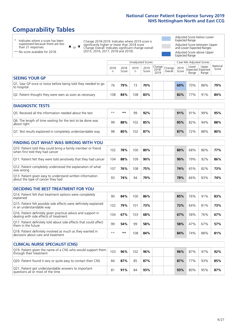# **Comparability Tables**

\* Indicates where a score has been suppressed because there are less than 21 responses.

\*\* No score available for 2018.

 $\triangle$  or  $\nabla$ 

Change 2018-2019: Indicates where 2019 score is significantly higher or lower than 2018 score Change Overall: Indicates significant change overall (2015, 2016, 2017, 2018 and 2019).

Adjusted Score below Lower Expected Range Adjusted Score between Upper and Lower Expected Ranges Adjusted Score above Upper Expected Range

|                                                                                                                                                                                                                                 | Unadjusted Scores |               |           |               |                                          |         |               | Case Mix Adjusted Scores |                                     |                   |  |
|---------------------------------------------------------------------------------------------------------------------------------------------------------------------------------------------------------------------------------|-------------------|---------------|-----------|---------------|------------------------------------------|---------|---------------|--------------------------|-------------------------------------|-------------------|--|
|                                                                                                                                                                                                                                 | 2018<br>n         | 2018<br>Score | 2019<br>n | 2019<br>Score | $\sqrt{Change} Change $<br>2018-<br>2019 | Overall | 2019<br>Score | Lower<br>Range           | Upper<br>Expected Expected<br>Range | National<br>Score |  |
| <b>SEEING YOUR GP</b>                                                                                                                                                                                                           |                   |               |           |               |                                          |         |               |                          |                                     |                   |  |
| Q1. Saw GP once or twice before being told they needed to go<br>to hospital                                                                                                                                                     | 76                | 79%           | 73        | 70%           |                                          |         | 69%           | 70%                      | 88%                                 | 79%               |  |
| Q2. Patient thought they were seen as soon as necessary                                                                                                                                                                         | 108               | 84%           | 108       | 83%           |                                          |         | 82%           | 77%                      | 91%                                 | 84%               |  |
| <b>DIAGNOSTIC TESTS</b>                                                                                                                                                                                                         |                   |               |           |               |                                          |         |               |                          |                                     |                   |  |
| $\sim$ . The contract of the contract of the contract of the contract of the contract of the contract of the contract of the contract of the contract of the contract of the contract of the contract of the contract of the co |                   |               |           |               |                                          |         |               |                          |                                     |                   |  |

| O5. Received all the information needed about the test                    | $**$ | **  | 99  | 92% |  | 91% | 91% | 99% | 95% |
|---------------------------------------------------------------------------|------|-----|-----|-----|--|-----|-----|-----|-----|
| Q6. The length of time waiting for the test to be done was<br>about right | gg   | 88% | 102 | 85% |  | 85% | 82% | 94% | 88% |
| Q7. Test results explained in completely understandable way               | 98   | 80% | 102 | 87% |  | 87% | 72% | 88% | 80% |

| <b>FINDING OUT WHAT WAS WRONG WITH YOU</b>                                                      |     |     |     |     |     |     |     |     |
|-------------------------------------------------------------------------------------------------|-----|-----|-----|-----|-----|-----|-----|-----|
| Q10. Patient told they could bring a family member or friend<br>when first told they had cancer | 102 | 78% | 100 | 80% | 80% | 68% | 86% | 77% |
| Q11. Patient felt they were told sensitively that they had cancer                               | 104 | 88% | 109 | 90% | 90% | 79% | 92% | 86% |
| Q12. Patient completely understood the explanation of what<br>was wrong                         | 107 | 76% | 108 | 75% | 74% | 65% | 82% | 73% |
| Q13. Patient given easy to understand written information<br>about the type of cancer they had  | 93  | 74% | 94  | 79% | 78% | 66% | 83% | 74% |

| <b>DECIDING THE BEST TREATMENT FOR YOU</b>                                                              |      |     |     |     |     |     |     |     |
|---------------------------------------------------------------------------------------------------------|------|-----|-----|-----|-----|-----|-----|-----|
| Q14. Patient felt that treatment options were completely<br>explained                                   | 90   | 84% | 100 | 86% | 85% | 76% | 91% | 83% |
| Q15. Patient felt possible side effects were definitely explained<br>in an understandable way           | 102  | 79% | 101 | 73% | 72% | 64% | 81% | 73% |
| Q16. Patient definitely given practical advice and support in<br>dealing with side effects of treatment | 104  | 67% | 103 | 68% | 67% | 58% | 76% | 67% |
| Q17. Patient definitely told about side effects that could affect<br>them in the future                 | 99   | 54% | 99  | 58% | 58% | 47% | 67% | 57% |
| Q18. Patient definitely involved as much as they wanted in decisions about care and treatment           | $**$ | **  | 108 | 84% | 84% | 74% | 88% | 81% |

| <b>CLINICAL NURSE SPECIALIST (CNS)</b>                                                    |     |     |     |     |  |     |                 |     |     |
|-------------------------------------------------------------------------------------------|-----|-----|-----|-----|--|-----|-----------------|-----|-----|
| Q19. Patient given the name of a CNS who would support them<br>through their treatment    | 103 | 96% | 102 | 96% |  | 96% | 87%             | 97% | 92% |
| Q20. Patient found it very or quite easy to contact their CNS                             | 84  | 87% | 85  | 87% |  | 87% | 77 <sub>%</sub> | 93% | 85% |
| Q21. Patient got understandable answers to important<br>questions all or most of the time | 81  | 91% | 84  | 93% |  | 93% | 80%             | 95% | 87% |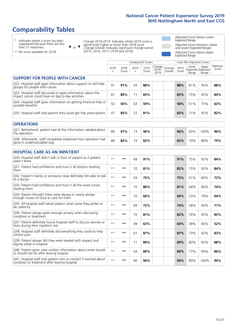# **Comparability Tables**

\* Indicates where a score has been suppressed because there are less than 21 responses.

\*\* No score available for 2018.

 $\triangle$  or  $\nabla$ 

Change 2018-2019: Indicates where 2019 score is significantly higher or lower than 2018 score Change Overall: Indicates significant change overall (2015, 2016, 2017, 2018 and 2019).

Adjusted Score below Lower Expected Range Adjusted Score between Upper and Lower Expected Ranges Adjusted Score above Upper Expected Range

|                                                                                                                   |              |               |           | <b>Unadjusted Scores</b> |                         |                   |               | Case Mix Adjusted Scores |                                     |                   |
|-------------------------------------------------------------------------------------------------------------------|--------------|---------------|-----------|--------------------------|-------------------------|-------------------|---------------|--------------------------|-------------------------------------|-------------------|
|                                                                                                                   | 2018<br>n    | 2018<br>Score | 2019<br>n | 2019<br>Score            | Change<br>2018-<br>2019 | Change<br>Overall | 2019<br>Score | Lower<br>Range           | Upper<br>Expected Expected<br>Range | National<br>Score |
| <b>SUPPORT FOR PEOPLE WITH CANCER</b>                                                                             |              |               |           |                          |                         |                   |               |                          |                                     |                   |
| Q22. Hospital staff gave information about support or self-help<br>groups for people with cancer                  | 91           | 91%           | 93        | 88%                      |                         |                   | 88%           | 81%                      | 95%                                 | 88%               |
| Q23. Hospital staff discussed or gave information about the<br>impact cancer could have on day to day activities  | 81           | 89%           | 71        | 83%                      |                         |                   | 83%           | 75%                      | 93%                                 | 84%               |
| Q24. Hospital staff gave information on getting financial help or<br>possible benefits                            | 50           | 50%           | 63        | 59%                      |                         |                   | 58%           | 51%                      | 75%                                 | 63%               |
| Q25. Hospital staff told patient they could get free prescriptions                                                | 47           | 85%           | 52        | 81%                      |                         |                   | 83%           | 71%                      | 92%                                 | 82%               |
| <b>OPERATIONS</b>                                                                                                 |              |               |           |                          |                         |                   |               |                          |                                     |                   |
| Q27. Beforehand, patient had all the information needed about<br>the operation                                    | 88           | 97%           | 73        | 96%                      |                         |                   | 96%           | 92%                      | 100%                                | 96%               |
| Q28. Afterwards, staff completely explained how operation had<br>gone in understandable way                       | 88           | 82%           | 74        | 82%                      |                         |                   | 82%           | 70%                      | 88%                                 | 79%               |
| <b>HOSPITAL CARE AS AN INPATIENT</b>                                                                              |              |               |           |                          |                         |                   |               |                          |                                     |                   |
| Q30. Hospital staff didn't talk in front of patient as if patient<br>wasn't there                                 | $**$         | **            | 68        | 91%                      |                         |                   | 91%           | 75%                      | 92%                                 | 84%               |
| Q31. Patient had confidence and trust in all doctors treating<br>them                                             | $\star\star$ | **            | 70        | 81%                      |                         |                   | 82%           | 75%                      | 92%                                 | 84%               |
| Q32. Patient's family or someone close definitely felt able to talk<br>to a doctor                                | $\star\star$ | **            | 59        | 75%                      |                         |                   | 75%           | 61%                      | 84%                                 | 72%               |
| Q33. Patient had confidence and trust in all the ward nurses<br>treating them                                     | $\star\star$ | **            | 70        | 80%                      |                         |                   | 81%           | 64%                      | 84%                                 | 74%               |
| Q34. Patient thought there were always or nearly always<br>enough nurses on duty to care for them                 | $**$         | **            | 70        | 66%                      |                         |                   | 66%           | 53%                      | 76%                                 | 64%               |
| Q35. All hospital staff asked patient what name they prefer to<br>be called by                                    | $**$         | **            | 69        | 72%                      |                         |                   | 74%           | 58%                      | 83%                                 | 71%               |
| Q36. Patient always given enough privacy when discussing<br>condition or treatment                                | $\star\star$ | **            | 70        | 81%                      |                         |                   | 82%           | 76%                      | 93%                                 | 85%               |
| Q37. Patient definitely found hospital staff to discuss worries or<br>fears during their inpatient visit          | $***$        | **            | 49        | 63%                      |                         |                   | 64%           | 38%                      | 66%                                 | 52%               |
| Q38. Hospital staff definitely did everything they could to help<br>control pain                                  | $***$        | $***$         | 61        | 87%                      |                         |                   | 87%           | 73%                      | 92%                                 | 83%               |
| Q39. Patient always felt they were treated with respect and<br>dignity while in hospital                          | $\star\star$ | **            | 71        | 89%                      |                         |                   | 89%           | 80%                      | 95%                                 | 88%               |
| Q40. Patient given clear written information about what should<br>or should not do after leaving hospital         | $**$         | **            | 64        | 89%                      |                         |                   | 89%           | 77%                      | 94%                                 | 86%               |
| Q41. Hospital staff told patient who to contact if worried about<br>condition or treatment after leaving hospital | $**$         | **            | 66        | 94%                      |                         |                   | 94%           | 89%                      | 100%                                | 94%               |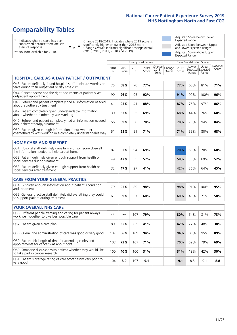# **Comparability Tables**

\* Indicates where a score has been suppressed because there are less than 21 responses.

\*\* No score available for 2018.

or  $\blacktriangledown$  $\blacktriangle$ 

Change 2018-2019: Indicates where 2019 score is significantly higher or lower than 2018 score Change Overall: Indicates significant change overall (2015, 2016, 2017, 2018 and 2019).

Adjusted Score below Lower Expected Range Adjusted Score between Upper and Lower Expected Ranges Adjusted Score above Upper Expected Range

|                                                                                                                       | <b>Unadjusted Scores</b> |               |           |               |                         |                   |               |                | Case Mix Adjusted Scores            |                   |
|-----------------------------------------------------------------------------------------------------------------------|--------------------------|---------------|-----------|---------------|-------------------------|-------------------|---------------|----------------|-------------------------------------|-------------------|
|                                                                                                                       | 2018<br>n.               | 2018<br>Score | 2019<br>n | 2019<br>Score | Change<br>2018-<br>2019 | Change<br>Overall | 2019<br>Score | Lower<br>Range | Upper<br>Expected Expected<br>Range | National<br>Score |
| HOSPITAL CARE AS A DAY PATIENT / OUTPATIENT                                                                           |                          |               |           |               |                         |                   |               |                |                                     |                   |
| Q43. Patient definitely found hospital staff to discuss worries or<br>fears during their outpatient or day case visit | 75                       | 68%           | 70        | 77%           |                         |                   | 77%           | 60%            | 81%                                 | 71%               |
| Q44. Cancer doctor had the right documents at patient's last<br>outpatient appointment                                | 90                       | 96%           | 95        | 92%           |                         |                   | 91%           | 92%            | 100%                                | 96%               |
| Q46. Beforehand patient completely had all information needed<br>about radiotherapy treatment                         | 41                       | 95%           | 41        | 88%           |                         |                   | 87%           | 76%            | 97%                                 | 86%               |
| Q47. Patient completely given understandable information<br>about whether radiotherapy was working                    | 30                       | 63%           | 35        | 69%           |                         |                   | 68%           | 44%            | 76%                                 | 60%               |
| Q49. Beforehand patient completely had all information needed<br>about chemotherapy treatment                         | 56                       | 89%           | 58        | 78%           |                         |                   | 78%           | 75%            | 94%                                 | 84%               |
| Q50. Patient given enough information about whether<br>chemotherapy was working in a completely understandable way    | 51                       | 65%           | 51        | 71%           |                         |                   | 71%           | 55%            | 80%                                 | 68%               |
| <b>HOME CARE AND SUPPORT</b>                                                                                          |                          |               |           |               |                         |                   |               |                |                                     |                   |
| Q51. Hospital staff definitely gave family or someone close all<br>the information needed to help care at home        | 87                       | 63%           | 94        | 69%           |                         |                   | 70%           | 50%            | 70%                                 | 60%               |
| Q52. Patient definitely given enough support from health or<br>social services during treatment                       | 49                       | 47%           | 35        | 57%           |                         |                   | 58%           | 35%            | 69%                                 | 52%               |
| Q53. Patient definitely given enough support from health or<br>social services after treatment                        | 32                       | 47%           | 27        | 41%           |                         |                   | 42%           | 26%            | 64%                                 | 45%               |
| <b>CARE FROM YOUR GENERAL PRACTICE</b>                                                                                |                          |               |           |               |                         |                   |               |                |                                     |                   |
| Q54. GP given enough information about patient's condition<br>and treatment                                           | 79                       | 95%           | 89        | 98%           |                         |                   | 98%           | 91%            | 100%                                | 95%               |
| Q55. General practice staff definitely did everything they could<br>to support patient during treatment               | 61                       | 59%           | 57        | 60%           |                         |                   | 60%           | 45%            | 71%                                 | 58%               |
| <b>YOUR OVERALL NHS CARE</b>                                                                                          |                          |               |           |               |                         |                   |               |                |                                     |                   |
| Q56. Different people treating and caring for patient always                                                          |                          |               |           |               |                         |                   |               |                |                                     |                   |
| work well together to give best possible care                                                                         | $\star\star$             | $***$         | 107       | 79%           |                         |                   | 80%           | 64%            | 81%                                 | 73%               |
| Q57. Patient given a care plan                                                                                        | 80                       | 35%           | 82        | 41%           |                         |                   | 42%           | 27%            | 48%                                 | 38%               |
| Q58. Overall the administration of care was good or very good                                                         | 107                      | 86%           | 109       | 94%           |                         |                   | 94%           | 83%            | 95%                                 | 89%               |
| Q59. Patient felt length of time for attending clinics and<br>appointments for cancer was about right                 | 103                      | 73%           | 107       | 71%           |                         |                   | 70%           | 59%            | 79%                                 | 69%               |
| Q60. Someone discussed with patient whether they would like<br>to take part in cancer research                        | 100                      | 40%           | 100       | 31%           |                         |                   | 31%           | 19%            | 42%                                 | 30%               |
| Q61. Patient's average rating of care scored from very poor to<br>very good                                           | 104                      | 8.9           | 107       | 9.1           |                         |                   | 9.1           | 8.5            | 9.1                                 | 8.8               |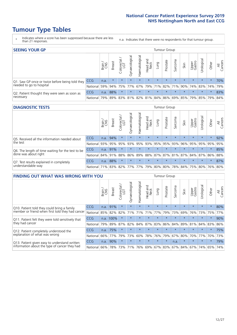# **Tumour Type Tables**

- \* Indicates where a score has been suppressed because there are less than 21 responses.
- n.a. Indicates that there were no respondents for that tumour group.

| <b>SEEING YOUR GP</b>                           |            |       |               |                    |                    |                |                  |                 | Tumour Group |         |         |                 |                                             |         |                |
|-------------------------------------------------|------------|-------|---------------|--------------------|--------------------|----------------|------------------|-----------------|--------------|---------|---------|-----------------|---------------------------------------------|---------|----------------|
|                                                 |            | Brain | <b>Breast</b> | Colorectal.<br>LGT | ᠊ᢛ<br>Gynaecologic | Haematological | Head and<br>Neck | Dung            | Prostate     | Sarcoma | Skin    | Upper<br>Gastro | Urologica                                   | Other   | All<br>Cancers |
| Q1. Saw GP once or twice before being told they | <b>CCG</b> | n.a.  | $\star$       | $\star$            | $\star$            | $\star$        | $\star$          | $\star$         | $\star$      | $\star$ | $\star$ | $\star$         | $\star$                                     | $\star$ | 70%            |
| needed to go to hospital                        | National   | 59%   |               | 94% 75%            | 77%                |                |                  | 67% 79% 71% 82% |              |         |         |                 | 71% 90% 74% 83% 74%                         |         | 79%            |
| Q2. Patient thought they were seen as soon as   | <b>CCG</b> | n.a.  | 88%           | $\star$            | $\star$            | $\star$        | $\star$          | $\star$         | $\star$      | $\star$ | $\star$ | $\star$         | $\star$                                     | $\star$ | 83%            |
| necessary                                       | National   | 79%   |               | 89% 83%            |                    |                |                  |                 |              |         |         |                 | 81% 82% 81% 84% 86% 69% 85% 79% 85% 79% 84% |         |                |

### **DIAGNOSTIC TESTS** Tumour Group

|                                                   |                                                                  | Brain | <b>Breast</b> | Colorectal<br>LGT | त्त<br>Gynaecologic | Haematological | Head and<br>Neck | Lung    | Prostate | Sarcoma | Skin    | Upper<br>Gastro | Urological                                  | Other   | All<br>Cancers |
|---------------------------------------------------|------------------------------------------------------------------|-------|---------------|-------------------|---------------------|----------------|------------------|---------|----------|---------|---------|-----------------|---------------------------------------------|---------|----------------|
| Q5. Received all the information needed about     | <b>CCG</b>                                                       | n.a.  | 94%           |                   | $\star$             | $\star$        | $\star$          | $\star$ | $\star$  | $\star$ |         | $\star$         | $\star$                                     | $\star$ | 92%            |
| the test                                          | National                                                         | 93%   | 95%           | 95%               | 93%                 | 95%            |                  | 93% 95% | 95%      | 93%     | 96%     | 95%             | 95%                                         | 95%     | 95%            |
| Q6. The length of time waiting for the test to be | <b>CCG</b>                                                       | n.a.  | 91%           |                   | $\star$             | $\star$        | $\star$          | $\star$ | $\star$  | $\star$ | $\star$ | $\star$         | $\star$                                     | $\star$ | 85%            |
| done was about right                              | National 84% 91%                                                 |       |               | 88%               |                     |                |                  |         |          |         |         |                 | 86% 89% 88% 87% 87% 81% 87% 84% 87% 86% 88% |         |                |
| Q7. Test results explained in completely          | <b>CCG</b>                                                       | n.a.  | 88%           |                   | $\star$             | $\star$        | $\star$          | $\star$ | $\star$  | $\star$ | $\star$ | $\star$         | $\star$                                     | $\star$ | 87%            |
| understandable way                                | National 71% 83% 82% 77% 77% 79% 80% 80% 78% 84% 75% 80% 76% 80% |       |               |                   |                     |                |                  |         |          |         |         |                 |                                             |         |                |

| <b>FINDING OUT WHAT WAS WRONG WITH YOU</b>        |            |       |               |                 |                |                |                        |                 | <b>Tumour Group</b> |         |         |                 |           |          |                |
|---------------------------------------------------|------------|-------|---------------|-----------------|----------------|----------------|------------------------|-----------------|---------------------|---------|---------|-----------------|-----------|----------|----------------|
|                                                   |            | Brain | <b>Breast</b> | ╮<br>Colorectal | Gynaecological | Haematological | ad and<br>Neck<br>Head | Lung            | Prostate            | Sarcoma | Skin    | Upper<br>Gastro | Jrologica | Other    | All<br>Cancers |
| Q10. Patient told they could bring a family       | <b>CCG</b> | n.a.  | 91%           | $\star$         | $\star$        | $\star$        | $\star$                | $\star$         | $\star$             | $\star$ | $\star$ | $\star$         | $\star$   | $\star$  | 80%            |
| member or friend when first told they had cancer  | National   | 85%   | 82%           | 82%             |                | 71% 71%        | 71%                    | 77%             | 79%                 | 73%     | 69%     | 76%             | 73% 75%   |          | 77%            |
| Q11. Patient felt they were told sensitively that | CCG        | n.a.  | 100%          | $\star$         | $\star$        | $\star$        | $\star$                | $\star$         | $\star$             | $\star$ | $\star$ | $\star$         | $\star$   | $\star$  | 90%            |
| they had cancer                                   | National   | 79%   | 89%           | 87%             | 82%            | 84%            | 87%                    | 83%             | 86%                 | 84%     | 89%     | 81%             | 84% 83%   |          | 86%            |
| Q12. Patient completely understood the            | <b>CCG</b> | n.a.  | 75%           |                 | $\star$        |                | $\star$                | $\star$         | $\star$             |         | $\star$ | $\star$         | $\star$   | $^\star$ | 75%            |
| explanation of what was wrong                     | National   | 66%   | 77%           | 79%             | 73%            | 60%            | 78%                    | 76%             | 79%                 | 67%     | 80%     | 70%             | 77%       | 70%      | 73%            |
| Q13. Patient given easy to understand written     | CCG        | n.a.  | 90%           |                 | $\star$        |                | $\star$                | $\star$         | $\star$             | n.a.    | $\star$ | $\star$         | $\star$   | $\ast$   | 79%            |
| information about the type of cancer they had     | National   | 66%   | 78%           | 73%             | 71%            | 76%            |                        | 69%   67%   83% |                     |         | 67% 84% | 67%             | 74%       | 65%      | 74%            |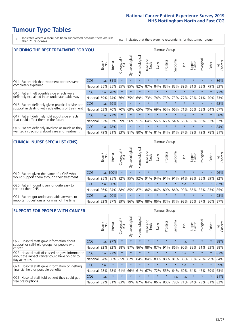# **Tumour Type Tables**

\* Indicates where a score has been suppressed because there are less than 21 responses.

n.a. Indicates that there were no respondents for that tumour group.

| <b>DECIDING THE BEST TREATMENT FOR YOU</b>         |              |       |               |                        |                |                |                         |         | <b>Tumour Group</b> |                                     |         |                 |            |             |                |
|----------------------------------------------------|--------------|-------|---------------|------------------------|----------------|----------------|-------------------------|---------|---------------------|-------------------------------------|---------|-----------------|------------|-------------|----------------|
|                                                    |              | Brain | <b>Breast</b> | olorectal.<br>LGT<br>Ũ | Gynaecological | Haematological | ead and<br>Neck<br>Head | Lung    | Prostate            | arcoma<br>$\sqrt{2}$                | Skin    | Upper<br>Gastro | Jrological | Other       | All<br>Cancers |
| Q14. Patient felt that treatment options were      | <b>CCG</b>   | n.a.  | 81%           | $\star$                | $\star$        | $\star$        | $\star$                 | $\star$ | $\star$             | $\star$                             | $\star$ | $\star$         | $\star$    | $\star$     | 86%            |
| completely explained                               | National     | 85%   | 85%           | 85%                    | 85%            | 82%            | 87%                     | 84%     | 83%                 | 83%                                 | 89%     | 81%             | 83%        | 79%         | 83%            |
| Q15. Patient felt possible side effects were       | <b>CCG</b>   | n.a.  | 78%           |                        |                |                | $\star$                 |         | $\star$             |                                     |         | $\star$         | $\star$    | $\star$     | 73%            |
| definitely explained in an understandable way      | National     | 69%   | 74%           | 76%                    | 75%            | 69%            | 73%                     | 74%     | 73%                 | 73%                                 | 77%     | 72%             | 71%        | 70%         | 73%            |
| Q16. Patient definitely given practical advice and | CCG          | n.a.  | 69%           |                        | $\star$        |                | $\star$                 | $\star$ | $\star$             |                                     |         | $\star$         | $\star$    | $\star$     | 68%            |
| support in dealing with side effects of treatment  | National     | 63%   | 70%           | 70%                    | 69%            | 65%            | 70%                     | 69%     | 65%                 | 66%                                 | 71%     | 66%             | 63%        | 64%         | 67%            |
| Q17. Patient definitely told about side effects    | <b>CCG</b>   | n.a.  | 72%           | $\star$                | $\star$        | $\star$        | $\star$                 | $\star$ | $\star$             | 大                                   | n.a.    | $\star$         | $\star$    | $\star$     | 58%            |
| that could affect them in the future               | National     | 62%   | 57%           | 59%                    | 56%            | 51%            | 64%                     | 56%     | 66%                 | 54%                                 | 66%     | 53%             | 56%        | 52%         | 57%            |
| Q18. Patient definitely involved as much as they   | CCG          | n.a.  | 78%           | $\star$                | $\star$        | $\star$        | $\star$                 | $\star$ | $\star$             | $\star$                             | $\star$ | $\star$         | $\star$    | $\star$     | 84%            |
| wanted in decisions about care and treatment       | National 79% |       | 81%           |                        |                |                |                         |         |                     | 83% 81% 80% 81% 81% 84% 81% 87% 79% |         |                 |            | 79% 78% 81% |                |

### **CLINICAL NURSE SPECIALIST (CNS)** Tumour Group

|                                             |            | Brain                                           | <b>Breast</b>   | Colorectal<br>LGT | $\overline{\sigma}$<br>aecologic<br>Š | ᢛ<br>Ű<br>Haematologi | Head and<br>Neck | Lung    | Prostate | Sarcoma  | Skin    | Upper<br>Gastro                     | σ<br>rologica | Other   | All<br>Cancers |
|---------------------------------------------|------------|-------------------------------------------------|-----------------|-------------------|---------------------------------------|-----------------------|------------------|---------|----------|----------|---------|-------------------------------------|---------------|---------|----------------|
| Q19. Patient given the name of a CNS who    | <b>CCG</b> |                                                 | n.a. 100%       |                   |                                       | $\star$               | $\star$          | $\star$ | $\star$  | $\star$  | $\star$ | $\star$                             | $\star$       | $\star$ | 96%            |
| would support them through their treatment  | National   |                                                 | 95% 95%         | 92%               | 95%                                   | 92%                   | 91%              | 94% 91% |          | $ 91\% $ | 91%     | 93%                                 | 85%           | 89%     | 92%            |
| Q20. Patient found it very or quite easy to | CCG        | n.a.                                            | 90%             |                   | $\star$                               | $\star$               | $\star$          | $\star$ | $\star$  | $\star$  | n.a.    | $\star$                             | $\star$       | $\star$ | 87%            |
| contact their CNS                           | National   |                                                 | 86% 84% 88% 85% |                   |                                       |                       |                  |         |          |          |         | 87% 86% 86% 80% 86% 90% 85% 83% 83% |               |         | 85%            |
| Q21. Patient got understandable answers to  | CCG        | n.a.                                            | 90%             |                   | $\star$                               | $\star$               | $\star$          | $\star$ | $\star$  | $\star$  | $\star$ | $\star$                             | $\star$       | $\ast$  | 93%            |
| important questions all or most of the time | National   | 82% 87% 89% 86% 89% 88% 86% 87% 87% 93% 86% 87% |                 |                   |                                       |                       |                  |         |          |          |         |                                     |               | 86%     | 87%            |

| <b>SUPPORT FOR PEOPLE WITH CANCER</b>                                                             |            |       |               |                            |                |                |                        |                 | Tumour Group |         |      |                 |           |         |                |
|---------------------------------------------------------------------------------------------------|------------|-------|---------------|----------------------------|----------------|----------------|------------------------|-----------------|--------------|---------|------|-----------------|-----------|---------|----------------|
|                                                                                                   |            | Brain | <b>Breast</b> | ╮<br>olorectal<br>LGT<br>Ū | Gynaecological | Haematological | ad and<br>Neck<br>Head | <b>Dung</b>     | Prostate     | Sarcoma | Skin | Upper<br>Gastro | Urologica | Other   | All<br>Cancers |
| Q22. Hospital staff gave information about<br>support or self-help groups for people with         | <b>CCG</b> | n.a.  | 97%           | $\star$                    | $\star$        | $\star$        | $\star$                | $\star$         | $\star$      | $\star$ | n.a. | $\star$         | $\star$   | $\star$ | 88%            |
| cancer                                                                                            | National   | 92%   | 92%           | 88%                        | 87%            | 86%            | 88%                    | 87%             | 91%          | 86%     | 90%  | 88%             | 81%       | 83%     | 88%            |
| Q23. Hospital staff discussed or gave information<br>about the impact cancer could have on day to | <b>CCG</b> | n.a.  | 92%           | $\star$                    | $\star$        | $\star$        | $\star$                | $\star$         | $\star$      | $\star$ | n.a. | $\star$         | $\star$   | $\star$ | 83%            |
| day activities                                                                                    | National   | 84%   |               | 86% 85%                    | 82%            | 84%            | 84%                    | 83%             | 88%          | 81%     | 86%  | 83%             | 78%       | 79%     | 84%            |
| Q24. Hospital staff gave information on getting                                                   | CCG        | n.a.  | $\star$       | $\star$                    | $\star$        | $\star$        | $\star$                | $\star$         | $\star$      | 大       | n.a. | $\star$         | $\star$   | $\star$ | 59%            |
| financial help or possible benefits                                                               | National   | 78%   | 68%           | 61%                        | 66%            | 61%            | 67%                    | 72%             | 55%          | 64%     | 60%  | 64%             | 47%       | 59%     | 63%            |
| Q25. Hospital staff told patient they could get                                                   | <b>CCG</b> | n.a.  | $\star$       | $\star$                    | $\star$        | $\star$        | $\star$                | $\star$         | $\star$      | n.a.    | n.a. | $\star$         | $\star$   | $\star$ | 81%            |
| free prescriptions                                                                                | National   | 82%   | 81%           | 83%                        | 79%            | 87%            |                        | 84%   86%   80% |              | 78%     | 71%  | 84%             | 73%       | 81%     | 82%            |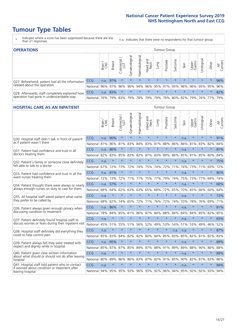# **Tumour Type Tables**

- \* Indicates where a score has been suppressed because there are less than 21 responses.
- n.a. Indicates that there were no respondents for that tumour group.

| <b>OPERATIONS</b>                                |            |       |               |                   |                                     |                |                  |                 | Tumour Group |         |                                         |                 |             |         |                |
|--------------------------------------------------|------------|-------|---------------|-------------------|-------------------------------------|----------------|------------------|-----------------|--------------|---------|-----------------------------------------|-----------------|-------------|---------|----------------|
|                                                  |            | Brain | <b>Breast</b> | Colorectal<br>LGT | $\overline{\sigma}$<br>Gynaecologic | Haematological | Head and<br>Neck | Lung            | Prostate     | Sarcoma | Skin                                    | Upper<br>Gastro | Irologica   | Other   | All<br>Cancers |
| Q27. Beforehand, patient had all the information | <b>CCG</b> | n.a.  | 97%           |                   | $\star$                             | $\star$        | $\star$          | $\star$         | $\star$      | $\star$ | $\star$                                 | $\star$         | $\star$     | $\star$ | 96%            |
| needed about the operation                       | National   | 96%   | 97%           | 96%               | 96%                                 |                |                  | 94% 96% 95% 97% |              |         | 95% 96%                                 |                 | 96% 95% 95% |         | 96%            |
| Q28. Afterwards, staff completely explained how  | <b>CCG</b> | n.a.  | 83%           |                   | $\star$                             | $\star$        | $\star$          | $\star$         | $\star$      | $\star$ | $\star$                                 | $\star$         | $\star$     | $\star$ | 82%            |
| operation had gone in understandable way         | National I | 76%   |               | 79% 83%           |                                     |                |                  |                 |              |         | 79% 78% 79% 79% 78% 80% 82% 79% 76% 77% |                 |             |         | 79%            |

#### **HOSPITAL CARE AS AN INPATIENT** Tumour Group

|                                                                                                   |            | Brain<br>CNS | Breast  | Colorectal /<br>LGT | Gynaecological | Haematological | Head and<br>Neck | Lung    | Prostate | Sarcoma | Skin | Upper<br>Gastro | Urological | Other   | Cancers<br>$\equiv$ |
|---------------------------------------------------------------------------------------------------|------------|--------------|---------|---------------------|----------------|----------------|------------------|---------|----------|---------|------|-----------------|------------|---------|---------------------|
| Q30. Hospital staff didn't talk in front of patient                                               | CCG        | n.a.         | 90%     | $\star$             | $\star$        | $\star$        | $\star$          | $\star$ | $\star$  | $\star$ | n.a. | $\star$         | $\star$    | $\star$ | 91%                 |
| as if patient wasn't there                                                                        | National   | 81%          | 86%     | 81%                 | 83%            | 84%            | 83%              | 81%     | 88%      | 86%     | 86%  | 81%             | 83%        | 82%     | 84%                 |
| O31. Patient had confidence and trust in all                                                      | CCG        | n.a.         | 86%     | $\star$             | $\star$        | $\star$        | $\star$          | $\star$ | $\star$  | $\star$ | n.a. |                 | $\star$    | $\star$ | 81%                 |
| doctors treating them                                                                             | National   | 82%          | 83%     | 85%                 | 83%            | 82%            |                  | 87% 83% | 89%      | 86%     | 85%  |                 | 81% 85%    | 80%     | 84%                 |
| Q32. Patient's family or someone close definitely<br>felt able to talk to a doctor                | CCG        | n.a.         | $\star$ | $\star$             | $\star$        | $\star$        | $\star$          | $\star$ | $\star$  | $\star$ | n.a. | $\star$         | $\star$    | $\star$ | 75%                 |
|                                                                                                   | National   | 67%          | 72%     | 73%                 | 72%            | 74%            | 75%              | 74%     | 72%      | 71%     | 74%  | 73%             | 71%        | 69%     | 72%                 |
| O33. Patient had confidence and trust in all the<br>ward nurses treating them                     | <b>CCG</b> | n.a.         | 81%     | $\star$             | $\star$        | $\star$        | $\star$          | $\star$ | $\star$  | $\star$ | n.a. | $\star$         | $\star$    | $\star$ | 80%                 |
|                                                                                                   | National   | 72%          | 73%     | 72%                 | 71%            | 77%            | 75%              | 77%     | 79%      | 74%     | 75%  | 73%             | 77%        | 69%     | 74%                 |
| Q34. Patient thought there were always or nearly<br>always enough nurses on duty to care for them | CCG        | n.a.         | 57%     | $\star$             | $\star$        | $\star$        | $\star$          | $\star$ | $\star$  | $\star$ | n.a. | $\star$         | $\star$    | $\star$ | 66%                 |
|                                                                                                   | National   | 68%          | 64%     | 62%                 | 63%            | 63%            | 65%              | 68%     | 72%      | 65%     | 70%  | 65%             | 66%        | 60%     | 64%                 |
| Q35. All hospital staff asked patient what name<br>they prefer to be called by                    | CCG        | n.a.         | $\star$ | $\star$             | $\star$        | $\star$        | $\star$          | $\star$ | $\star$  | $\star$ | n.a. |                 | $\star$    | $\star$ | 72%                 |
|                                                                                                   | National   | 68%          | 62%     | 74%                 | 65%            | 72%            | 71%              | 76%     | 72%      | 74%     | 70%  | 78%             | 76%        | 69%     | 71%                 |
| Q36. Patient always given enough privacy when                                                     | CCG        | n.a.         | 86%     | $\star$             | $\star$        | $\star$        | $\star$          | $\star$ | $\star$  | $\star$ | n.a. | $\star$         | $\star$    | $\star$ | 81%                 |
| discussing condition or treatment                                                                 | National   | 78%          | 84%     | 85%                 | 81%            | 86%            | 87%              | 84%     | 88%      | 84%     | 84%  | 84%             | 85%        | 82%     | 85%                 |
| Q37. Patient definitely found hospital staff to                                                   | CCG        | n.a.         | $\star$ | $\star$             | $\star$        | $\star$        | $\star$          | $\star$ | $\star$  | $\star$ | n.a. | $\star$         | $\star$    | $\star$ | 63%                 |
| discuss worries or fears during their inpatient visit                                             | National   | 45%          | 51%     | 55%                 | 51%            | 56%            | 52%              | 49%     | 53%      | 54%     | 51%  | 53%             | 49%        | 46%     | 52%                 |
| Q38. Hospital staff definitely did everything they                                                | CCG        | n.a.         | $\star$ | $\star$             | $\star$        | $\star$        | $\star$          | $\star$ | $\star$  | n.a.    | n.a. | $\star$         | $\star$    | $\star$ | 87%                 |
| could to help control pain                                                                        | National   | 85%          | 83%     | 84%                 | 82%            | 82%            | 80%              | 84%     | 85%      | 83%     | 85%  | 82%             | 81%        | 82%     | 83%                 |
| Q39. Patient always felt they were treated with                                                   | CCG        | n.a.         | 95%     | $\star$             | $\star$        | $\star$        | $\star$          | $\star$ | $\star$  | $\star$ | n.a. |                 |            | $\star$ | 89%                 |
| respect and dignity while in hospital                                                             | National   | 85%          | 87%     | 87%                 | 85%            | 89%            |                  | 87% 88% | 91%      | 89%     | 89%  | 88%             | 90%        | 86%     | 88%                 |
| Q40. Patient given clear written information<br>about what should or should not do after leaving  | CCG        | n.a.         | $\star$ | $\star$             | $\star$        | $\star$        | $\star$          | $\star$ | $\star$  | $\star$ | n.a. | $\star$         | $\star$    | $\star$ | 89%                 |
| hospital                                                                                          | National   | 80%          | 89%     | 86%                 |                | 86% 83%        |                  | 87% 82% | 91%      | 85%     | 90%  |                 | 82% 87%    | 83%     | 86%                 |
| Q41. Hospital staff told patient who to contact<br>if worried about condition or treatment after  | CCG        | n.a.         | $\star$ | $\star$             | $\star$        | $\star$        | $\star$          | $\star$ | $\star$  | $\star$ | n.a. | $\star$         | $\star$    | $\star$ | 94%                 |
| leaving hospital                                                                                  | National   | 94%          | 95%     | 95%                 |                | 93% 96%        |                  | 93% 92% | $96\%$   | 94%     | 95%  | 92%             | 92%        | 93%     | 94%                 |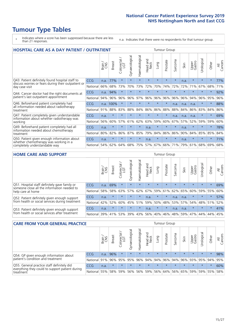# **Tumour Type Tables**

- \* Indicates where a score has been suppressed because there are less than 21 responses.
- n.a. Indicates that there were no respondents for that tumour group.

| <b>HOSPITAL CARE AS A DAY PATIENT / OUTPATIENT</b>                                                                       | <b>Tumour Group</b> |       |               |                         |                |                |                         |         |          |                          |      |                 |            |         |                |
|--------------------------------------------------------------------------------------------------------------------------|---------------------|-------|---------------|-------------------------|----------------|----------------|-------------------------|---------|----------|--------------------------|------|-----------------|------------|---------|----------------|
|                                                                                                                          |                     | Brain | <b>Breast</b> | olorectal /<br>LGT<br>Ū | Gynaecological | Haematological | aad and<br>Neck<br>Head | Lung    | Prostate | arcoma<br>$\overline{2}$ | Skin | Upper<br>Gastro | Urological | Other   | All<br>Cancers |
| Q43. Patient definitely found hospital staff to<br>discuss worries or fears during their outpatient or<br>day case visit | <b>CCG</b>          | n.a.  | 77%           | $\star$                 | $\star$        | $\star$        | $\star$                 | $\star$ | $\star$  | $\star$                  | n.a. | $\star$         | $\star$    | $\star$ | 77%            |
|                                                                                                                          | National            | 66%   | 68%           | 73%                     | 70%            | 73%            | 72%                     | 70%     | 74%      | 72%                      | 72%  | 71%             | 67%        | 68%     | 71%            |
| Q44. Cancer doctor had the right documents at<br>patient's last outpatient appointment                                   | CCG                 | n.a.  | 94%           | $\star$                 |                |                | $\star$                 | $\star$ | $\star$  | $\star$                  |      | $\star$         | $\star$    | $\star$ | 92%            |
|                                                                                                                          | National            | 94%   | 96%           | 96%                     | 96%            | 97%            | 96%                     | 96%     | 96%      | 96%                      | 96%  | 94%             | 96%        | 95%     | 96%            |
| Q46. Beforehand patient completely had                                                                                   | <b>CCG</b>          |       | n.a. 100%     | $\star$                 |                |                | $\star$                 | $\star$ | $\star$  | n.a.                     | n.a. | n.a.            | $\star$    | $\star$ | 88%            |
| all information needed about radiotherapy<br>treatment                                                                   | National            | 91%   | 88%           | 83%                     | 88%            | 84%            | 86%                     | 86%     | 88%      | 88%                      | 84%  | 86%             | 83%        | 84%     | 86%            |
| Q47. Patient completely given understandable                                                                             | <b>CCG</b>          | n.a.  | $\star$       | $\star$                 | $\star$        |                | $\star$                 | $\star$ | $\star$  | n.a.                     | n.a. | n.a.            | $\star$    | $\star$ | 69%            |
| information about whether radiotherapy was<br>working                                                                    | National            | 56%   | 60%           | 57%                     | 61%            | 62%            | 63%                     | 59%     | 60%      | 67%                      | 57%  | 52%             | 59%        | 59%     | 60%            |
| Q49. Beforehand patient completely had all                                                                               | <b>CCG</b>          | n.a.  | $\star$       | $\star$                 | $\star$        | $\star$        | n.a.                    | $\star$ | $\star$  | $\star$                  | n.a. | $\star$         | $\star$    | $\ast$  | 78%            |
| information needed about chemotherapy<br>treatment                                                                       | National            | 80%   | 82%           | 86%                     | 87%            | 85%            | 79%                     | 84%     | 86%      | 86%                      | 90%  | 84%             | 85%        | 85%     | 84%            |
| Q50. Patient given enough information about<br>whether chemotherapy was working in a<br>completely understandable way    | <b>CCG</b>          | n.a.  | $\ast$        | $\star$                 |                | $\star$        | n.a.                    | $\star$ | $\star$  | $\star$                  | n.a. | $\star$         | $\star$    | $\ast$  | 71%            |
|                                                                                                                          | National            | 54%   | 62%           | 64%                     | 68%            | 75%            |                         | 57% 67% | 66%      | 71%                      | 79%  | 61%             | 68%        | 69%     | 68%            |

### **HOME CARE AND SUPPORT** Tumour Group

|                                                                                                                   |            | Brain | Breast  | Colorectal<br>LGT | ᢛ<br>Gynaecologic | Haematological | Head and<br>Neck | <b>Dung</b> | Prostate | Sarcoma | Skin    | Upper<br>Gastro | rologica | Other   | All<br>Cancers |
|-------------------------------------------------------------------------------------------------------------------|------------|-------|---------|-------------------|-------------------|----------------|------------------|-------------|----------|---------|---------|-----------------|----------|---------|----------------|
| Q51. Hospital staff definitely gave family or<br>someone close all the information needed to<br>help care at home | <b>CCG</b> | n.a.  | 69%     |                   | $\star$           | $\star$        | $\star$          | $\star$     | $\star$  | $\star$ | $\star$ | $\star$         | $\star$  | $\star$ | 69%            |
|                                                                                                                   | National   | 58%   | 58%     | 63%               | 57%               | 62%            | 67%              |             | 59% 61%  |         | 62% 65% | 60%             | 59% 55%  |         | 60%            |
| Q52. Patient definitely given enough support<br>from health or social services during treatment                   | <b>CCG</b> | n.a.  | $\star$ | $\star$           | $\star$           | $\star$        | n.a.             | $\star$     | $\star$  | n.a.    | n.a.    | $\star$         | $\star$  | $\star$ | 57%            |
|                                                                                                                   | National   | 42%   | 52%     | 60%               |                   | 45% 51%        | 59%              | 50%         | 48%      |         | 53% 57% | 54%             | 48% 51%  |         | 52%            |
| Q53. Patient definitely given enough support<br>from health or social services after treatment                    | <b>CCG</b> | n.a.  | $\star$ | $\star$           | $\star$           | $\star$        | n.a.             | $\star$     | $\star$  | n.a.    | n.a.    | $\star$         | $\star$  | $\star$ | 41%            |
|                                                                                                                   | National   | 39%   | 41% 53% |                   | 39%               | 43%            | 56%              | 40%         | 46%      | 48%     | 59%     | 47%             | 44%      | 44%     | 45%            |

| <b>CARE FROM YOUR GENERAL PRACTICE</b>                                                                     |              |        |               |                   |                |                   | Tumour Group                            |         |          |         |         |                             |           |         |                |
|------------------------------------------------------------------------------------------------------------|--------------|--------|---------------|-------------------|----------------|-------------------|-----------------------------------------|---------|----------|---------|---------|-----------------------------|-----------|---------|----------------|
|                                                                                                            |              | Brain, | <b>Breast</b> | Colorectal<br>LGT | Gynaecological | ᅙ<br>Haematologic | Head and<br>Neck                        | Lung    | Prostate | Sarcoma | Skin    | Upper<br>Gastro             | Urologica | Other   | All<br>Cancers |
| Q54. GP given enough information about                                                                     | <b>CCG</b>   | n.a.   | 96%           |                   | $\star$        | $\star$           | $\star$                                 | $\star$ | $\star$  | $\star$ | $\star$ | $\star$                     | $\star$   | $\star$ | 98%            |
| patient's condition and treatment                                                                          | National 91% |        |               | 96% 95%           | 95%            |                   | 96% 94% 94% 96% 94% 96% 93% 95% 94% 95% |         |          |         |         |                             |           |         |                |
| Q55. General practice staff definitely did<br>everything they could to support patient during<br>treatment | CCG          | n.a.   | $\star$       | $\star$           | $\star$        | $\star$           | $\star$                                 | $\star$ | $\star$  | $\star$ | $\star$ | $\star$                     | $\star$   | $\star$ | 60%            |
|                                                                                                            | National     | 55%    |               | 58% 59%           | 56%            |                   | 56% 59%                                 |         |          |         |         | 56% 64% 56% 65% 59% 59% 55% |           |         | 58%            |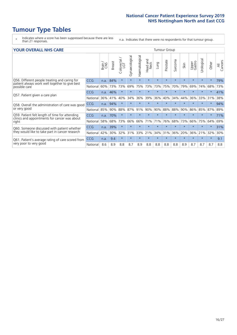# **Tumour Type Tables**

- \* Indicates where a score has been suppressed because there are less than 21 responses.
- n.a. Indicates that there were no respondents for that tumour group.

| <b>YOUR OVERALL NHS CARE</b> |  |  |  |  |
|------------------------------|--|--|--|--|
|------------------------------|--|--|--|--|

| <b>YOUR OVERALL NHS CARE</b>                                                                                     |            |       |               |            |                |                |                  | <b>Tumour Group</b> |          |                      |         |                 |           |         |                |  |
|------------------------------------------------------------------------------------------------------------------|------------|-------|---------------|------------|----------------|----------------|------------------|---------------------|----------|----------------------|---------|-----------------|-----------|---------|----------------|--|
|                                                                                                                  |            | Brain | <b>Breast</b> | Colorectal | Gynaecological | Haematological | Head and<br>Neck | Lung                | Prostate | arcoma<br>$\sqrt{ }$ | Skin    | Upper<br>Gastro | Urologica | Other   | All<br>Cancers |  |
| Q56. Different people treating and caring for<br>patient always work well together to give best<br>possible care | <b>CCG</b> | n.a.  | 84%           | $\star$    | $\star$        | $\star$        | $\star$          | $\star$             | $\star$  | $\star$              | $\star$ | $\star$         |           | $\star$ | 79%            |  |
|                                                                                                                  | National   | 60%   | 73%           | 73%        | 69%            | 75%            | 73%              | 73%                 | 75%      | 70%                  | 79%     | 69%             | 74%       | 68%     | 73%            |  |
| Q57. Patient given a care plan                                                                                   | CCG        | n.a.  | 46%           | $\star$    | $\star$        |                | $\star$          | $\star$             | $\star$  | $\star$              | $\star$ | $\star$         |           | $\star$ | 41%            |  |
|                                                                                                                  | National   | 36%   | 41%           | 40%        | 34%            | 36%            | 39%              | 36%                 | 40%      | 34%                  | 44%     | 36%             | 33%       | 31%     | 38%            |  |
| Q58. Overall the administration of care was good                                                                 | CCG        | n.a.  | 94%           | $\star$    | $\star$        | $\star$        | $\star$          | $\star$             | $\star$  | $\star$              | $\star$ | $\star$         |           | $\star$ | 94%            |  |
| or very good                                                                                                     | National   | 85%   | 90%           | 88%        | 87%            | 91%            | 90%              | 90%                 | 88%      | 88%                  | 90%     | 86%             | 85%       | 87%     | 89%            |  |
| Q59. Patient felt length of time for attending                                                                   | <b>CCG</b> | n.a.  | 70%           | $\star$    | $\star$        |                |                  |                     | $\star$  | $\star$              | $\star$ |                 |           | $\star$ | 71%            |  |
| clinics and appointments for cancer was about<br>right                                                           | National   | 58%   | 68%           | 73%        | 66%            | 66%            | 71%              | 71%                 | 76%      | 68%                  | 73%     | 66%             | 75%       | 64%     | 69%            |  |
| Q60. Someone discussed with patient whether                                                                      | <b>CCG</b> | n.a.  | 39%           | $\star$    | $\star$        |                | $\star$          | $\star$             | $\star$  | $\star$              | $\star$ |                 | $\star$   | $\star$ | 31%            |  |
| they would like to take part in cancer research                                                                  | National   | 42%   | 30%           | 32%        | 31%            | 33%            | 21%              | 34%                 | 31%      | 36%                  | 20%     | 36%             | 21%       | 32%     | 30%            |  |
| Q61. Patient's average rating of care scored from<br>very poor to very good                                      | <b>CCG</b> | n.a.  | 9.4           | $\star$    | $\star$        |                |                  | $\star$             | $\star$  | $\star$              | $\star$ |                 |           | $\star$ | 9.1            |  |
|                                                                                                                  | National   | 8.6   | 8.9           | 8.8        | 8.7            | 8.9            | 8.8              | 8.8                 | 8.8      | 8.8                  | 8.9     | 8.7             | 8.7       | 8.7     | 8.8            |  |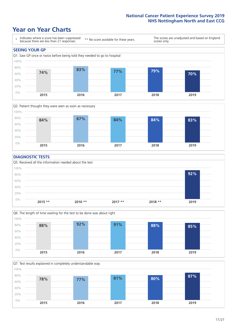## **Year on Year Charts**





### **DIAGNOSTIC TESTS**





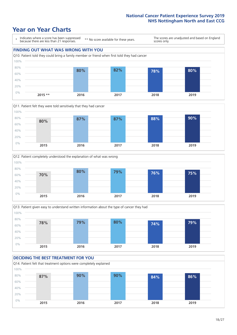







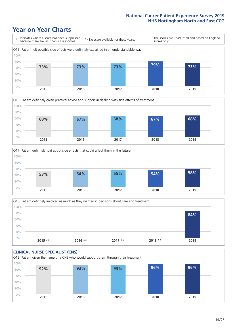





Q18. Patient definitely involved as much as they wanted in decisions about care and treatment  $0%$ 20% 40% 60% 80% 100% **2015 \*\* 2016 \*\* 2017 \*\* 2018 \*\* 2019 84%**

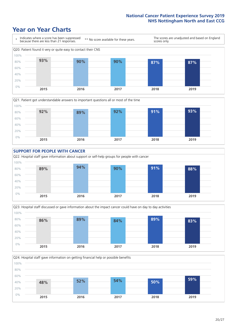







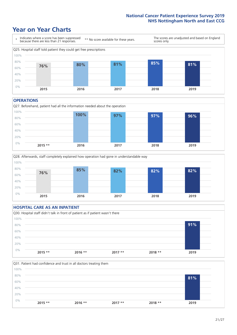### **Year on Year Charts**



#### **OPERATIONS**

Q27. Beforehand, patient had all the information needed about the operation  $0%$ 20% 40% 60% 80% 100% **2015 \*\* 2016 2017 2018 2019 100% 97% 97% 96%**



### **HOSPITAL CARE AS AN INPATIENT** Q30. Hospital staff didn't talk in front of patient as if patient wasn't there 0% 20% 40% 60% 80% 100% **2015 \*\* 2016 \*\* 2017 \*\* 2018 \*\* 2019 91%**

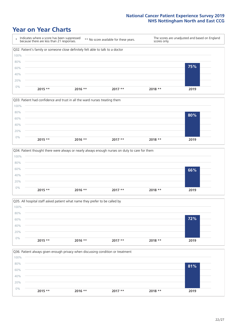







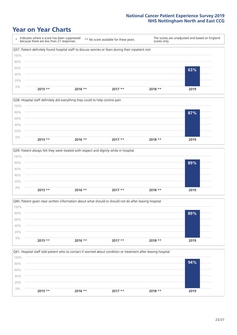







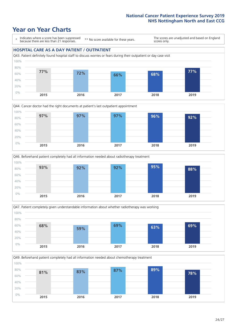### **Year on Year Charts**

\* Indicates where a score has been suppressed because there are less than 21 responses.

\*\* No score available for these years.

The scores are unadjusted and based on England scores only.

### **HOSPITAL CARE AS A DAY PATIENT / OUTPATIENT**









Q49. Beforehand patient completely had all information needed about chemotherapy treatment 0% 20% 40% 60% 80% 100% **2015 2016 2017 2018 2019 81% 83% 87% 89% 78%**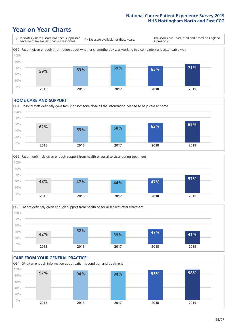### **Year on Year Charts**



#### **HOME CARE AND SUPPORT**







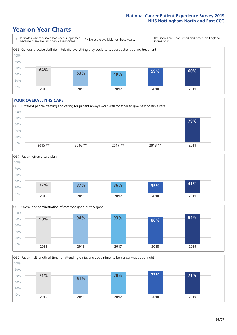### **Year on Year Charts**



#### **YOUR OVERALL NHS CARE**







Q59. Patient felt length of time for attending clinics and appointments for cancer was about right